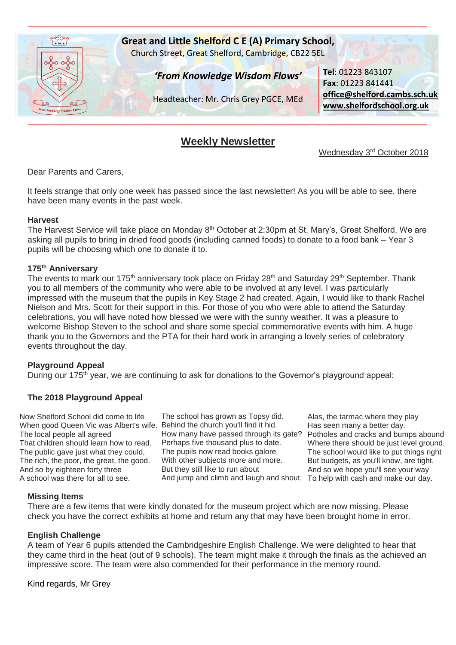

# **Weekly Newsletter**

Wednesday 3<sup>rd</sup> October 2018

Dear Parents and Carers,

It feels strange that only one week has passed since the last newsletter! As you will be able to see, there have been many events in the past week.

#### **Harvest**

The Harvest Service will take place on Monday 8<sup>th</sup> October at 2:30pm at St. Mary's, Great Shelford. We are asking all pupils to bring in dried food goods (including canned foods) to donate to a food bank – Year 3 pupils will be choosing which one to donate it to.

#### **175th Anniversary**

The events to mark our 175<sup>th</sup> anniversary took place on Friday 28<sup>th</sup> and Saturday 29<sup>th</sup> September. Thank you to all members of the community who were able to be involved at any level. I was particularly impressed with the museum that the pupils in Key Stage 2 had created. Again, I would like to thank Rachel Nielson and Mrs. Scott for their support in this. For those of you who were able to attend the Saturday celebrations, you will have noted how blessed we were with the sunny weather. It was a pleasure to welcome Bishop Steven to the school and share some special commemorative events with him. A huge thank you to the Governors and the PTA for their hard work in arranging a lovely series of celebratory events throughout the day.

#### **Playground Appeal**

During our 175<sup>th</sup> year, we are continuing to ask for donations to the Governor's playground appeal:

#### **The 2018 Playground Appeal**

Now Shelford School did come to life When good Queen Vic was Albert's wife. The local people all agreed That children should learn how to read. The public gave just what they could, The rich, the poor, the great, the good. And so by eighteen forty three A school was there for all to see.

The school has grown as Topsy did. Behind the church you'll find it hid. How many have passed through its gate? Perhaps five thousand plus to date. The pupils now read books galore With other subjects more and more. But they still like to run about And jump and climb and laugh and shout. To help with cash and make our day.

Alas, the tarmac where they play Has seen many a better day. Potholes and cracks and bumps abound Where there should be just level ground. The school would like to put things right But budgets, as you'll know, are tight. And so we hope you'll see your way

#### **Missing Items**

There are a few items that were kindly donated for the museum project which are now missing. Please check you have the correct exhibits at home and return any that may have been brought home in error.

#### **English Challenge**

A team of Year 6 pupils attended the Cambridgeshire English Challenge. We were delighted to hear that they came third in the heat (out of 9 schools). The team might make it through the finals as the achieved an impressive score. The team were also commended for their performance in the memory round.

Kind regards, Mr Grey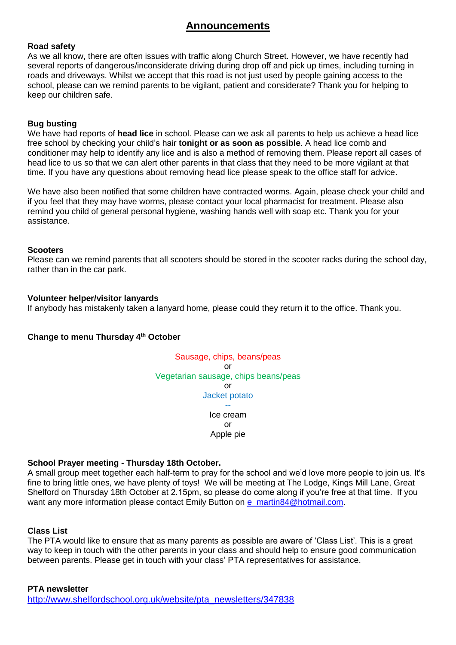# **Announcements**

# **Road safety**

As we all know, there are often issues with traffic along Church Street. However, we have recently had several reports of dangerous/inconsiderate driving during drop off and pick up times, including turning in roads and driveways. Whilst we accept that this road is not just used by people gaining access to the school, please can we remind parents to be vigilant, patient and considerate? Thank you for helping to keep our children safe.

# **Bug busting**

We have had reports of **head lice** in school. Please can we ask all parents to help us achieve a head lice free school by checking your child's hair **tonight or as soon as possible**. A head lice comb and conditioner may help to identify any lice and is also a method of removing them. Please report all cases of head lice to us so that we can alert other parents in that class that they need to be more vigilant at that time. If you have any questions about removing head lice please speak to the office staff for advice.

We have also been notified that some children have contracted worms. Again, please check your child and if you feel that they may have worms, please contact your local pharmacist for treatment. Please also remind you child of general personal hygiene, washing hands well with soap etc. Thank you for your assistance.

### **Scooters**

Please can we remind parents that all scooters should be stored in the scooter racks during the school day, rather than in the car park.

### **Volunteer helper/visitor lanyards**

If anybody has mistakenly taken a lanyard home, please could they return it to the office. Thank you.

# **Change to menu Thursday 4th October**



# **School Prayer meeting - Thursday 18th October.**

A small group meet together each half-term to pray for the school and we'd love more people to join us. It's fine to bring little ones, we have plenty of toys! We will be meeting at The Lodge, Kings Mill Lane, Great Shelford on Thursday 18th October at 2.15pm, so please do come along if you're free at that time. If you want any more information please contact Emily Button on [e\\_martin84@hotmail.com.](mailto:e_martin84@hotmail.com)

#### **Class List**

The PTA would like to ensure that as many parents as possible are aware of 'Class List'. This is a great way to keep in touch with the other parents in your class and should help to ensure good communication between parents. Please get in touch with your class' PTA representatives for assistance.